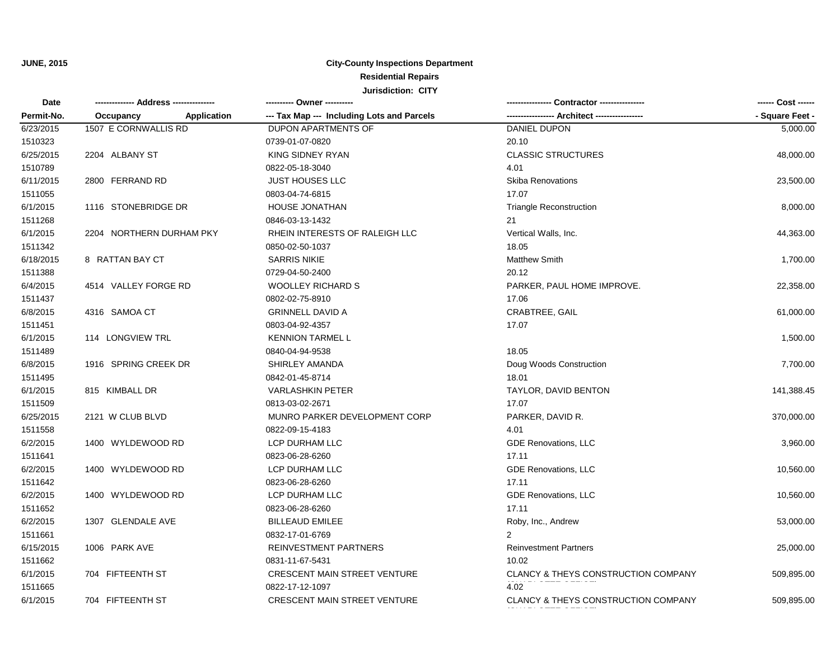| <b>Date</b> | ------------- Address -------------- | ---------- Owner ----------                | Contractor ----------------         |                 |
|-------------|--------------------------------------|--------------------------------------------|-------------------------------------|-----------------|
| Permit-No.  | Application<br>Occupancy             | --- Tax Map --- Including Lots and Parcels | -- Architect ---                    | - Square Feet - |
| 6/23/2015   | 1507 E CORNWALLIS RD                 | <b>DUPON APARTMENTS OF</b>                 | DANIEL DUPON                        | 5,000.00        |
| 1510323     |                                      | 0739-01-07-0820                            | 20.10                               |                 |
| 6/25/2015   | 2204 ALBANY ST                       | KING SIDNEY RYAN                           | <b>CLASSIC STRUCTURES</b>           | 48,000.00       |
| 1510789     |                                      | 0822-05-18-3040                            | 4.01                                |                 |
| 6/11/2015   | 2800 FERRAND RD                      | <b>JUST HOUSES LLC</b>                     | <b>Skiba Renovations</b>            | 23,500.00       |
| 1511055     |                                      | 0803-04-74-6815                            | 17.07                               |                 |
| 6/1/2015    | 1116 STONEBRIDGE DR                  | <b>HOUSE JONATHAN</b>                      | <b>Triangle Reconstruction</b>      | 8,000.00        |
| 1511268     |                                      | 0846-03-13-1432                            | 21                                  |                 |
| 6/1/2015    | 2204 NORTHERN DURHAM PKY             | RHEIN INTERESTS OF RALEIGH LLC             | Vertical Walls, Inc.                | 44,363.00       |
| 1511342     |                                      | 0850-02-50-1037                            | 18.05                               |                 |
| 6/18/2015   | 8 RATTAN BAY CT                      | <b>SARRIS NIKIE</b>                        | <b>Matthew Smith</b>                | 1,700.00        |
| 1511388     |                                      | 0729-04-50-2400                            | 20.12                               |                 |
| 6/4/2015    | 4514 VALLEY FORGE RD                 | <b>WOOLLEY RICHARD S</b>                   | PARKER, PAUL HOME IMPROVE.          | 22,358.00       |
| 1511437     |                                      | 0802-02-75-8910                            | 17.06                               |                 |
| 6/8/2015    | 4316 SAMOA CT                        | <b>GRINNELL DAVID A</b>                    | <b>CRABTREE, GAIL</b>               | 61,000.00       |
| 1511451     |                                      | 0803-04-92-4357                            | 17.07                               |                 |
| 6/1/2015    | 114 LONGVIEW TRL                     | <b>KENNION TARMEL L</b>                    |                                     | 1,500.00        |
| 1511489     |                                      | 0840-04-94-9538                            | 18.05                               |                 |
| 6/8/2015    | 1916 SPRING CREEK DR                 | SHIRLEY AMANDA                             | Doug Woods Construction             | 7,700.00        |
| 1511495     |                                      | 0842-01-45-8714                            | 18.01                               |                 |
| 6/1/2015    | 815 KIMBALL DR                       | <b>VARLASHKIN PETER</b>                    | TAYLOR, DAVID BENTON                | 141,388.45      |
| 1511509     |                                      | 0813-03-02-2671                            | 17.07                               |                 |
| 6/25/2015   | 2121 W CLUB BLVD                     | MUNRO PARKER DEVELOPMENT CORP              | PARKER, DAVID R.                    | 370,000.00      |
| 1511558     |                                      | 0822-09-15-4183                            | 4.01                                |                 |
| 6/2/2015    | 1400 WYLDEWOOD RD                    | LCP DURHAM LLC                             | <b>GDE Renovations, LLC</b>         | 3,960.00        |
| 1511641     |                                      | 0823-06-28-6260                            | 17.11                               |                 |
| 6/2/2015    | 1400 WYLDEWOOD RD                    | LCP DURHAM LLC                             | <b>GDE Renovations, LLC</b>         | 10,560.00       |
| 1511642     |                                      | 0823-06-28-6260                            | 17.11                               |                 |
| 6/2/2015    | 1400 WYLDEWOOD RD                    | LCP DURHAM LLC                             | GDE Renovations, LLC                | 10,560.00       |
| 1511652     |                                      | 0823-06-28-6260                            | 17.11                               |                 |
| 6/2/2015    | 1307 GLENDALE AVE                    | <b>BILLEAUD EMILEE</b>                     | Roby, Inc., Andrew                  | 53,000.00       |
| 1511661     |                                      | 0832-17-01-6769                            | $\overline{2}$                      |                 |
| 6/15/2015   | 1006 PARK AVE                        | REINVESTMENT PARTNERS                      | <b>Reinvestment Partners</b>        | 25,000.00       |
| 1511662     |                                      | 0831-11-67-5431                            | 10.02                               |                 |
| 6/1/2015    | 704 FIFTEENTH ST                     | <b>CRESCENT MAIN STREET VENTURE</b>        | CLANCY & THEYS CONSTRUCTION COMPANY | 509,895.00      |
| 1511665     |                                      | 0822-17-12-1097                            | 4.02                                |                 |
| 6/1/2015    | 704 FIFTEENTH ST                     | <b>CRESCENT MAIN STREET VENTURE</b>        | CLANCY & THEYS CONSTRUCTION COMPANY | 509,895.00      |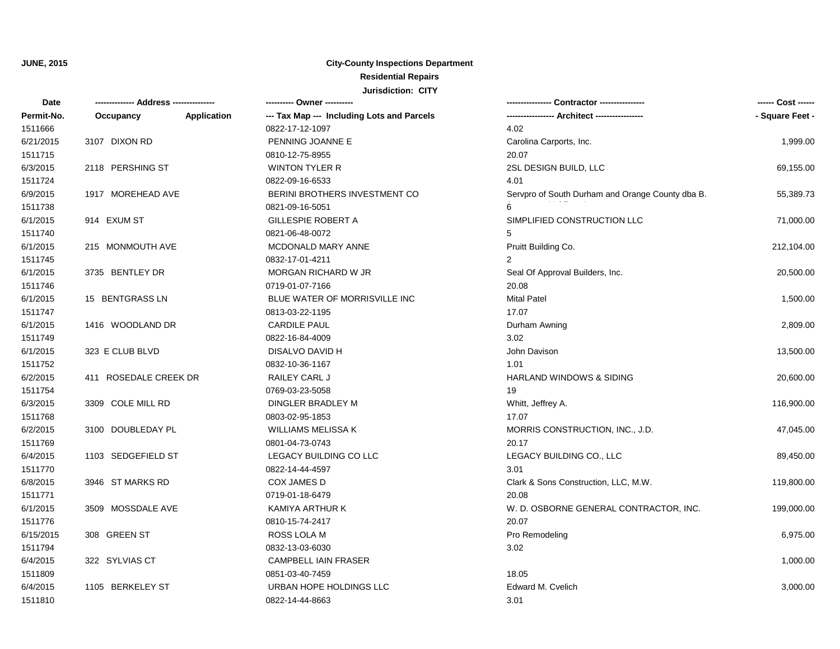| Date       |                       |             | ---------- Owner ----------                |                                                  | ------ Cost ------ |
|------------|-----------------------|-------------|--------------------------------------------|--------------------------------------------------|--------------------|
| Permit-No. | Occupancy             | Application | --- Tax Map --- Including Lots and Parcels |                                                  | - Square Feet -    |
| 1511666    |                       |             | 0822-17-12-1097                            | 4.02                                             |                    |
| 6/21/2015  | 3107 DIXON RD         |             | PENNING JOANNE E                           | Carolina Carports, Inc.                          | 1,999.00           |
| 1511715    |                       |             | 0810-12-75-8955                            | 20.07                                            |                    |
| 6/3/2015   | 2118 PERSHING ST      |             | <b>WINTON TYLER R</b>                      | 2SL DESIGN BUILD, LLC                            | 69,155.00          |
| 1511724    |                       |             | 0822-09-16-6533                            | 4.01                                             |                    |
| 6/9/2015   | 1917 MOREHEAD AVE     |             | BERINI BROTHERS INVESTMENT CO              | Servpro of South Durham and Orange County dba B. | 55,389.73          |
| 1511738    |                       |             | 0821-09-16-5051                            | 6                                                |                    |
| 6/1/2015   | 914 EXUM ST           |             | GILLESPIE ROBERT A                         | SIMPLIFIED CONSTRUCTION LLC                      | 71,000.00          |
| 1511740    |                       |             | 0821-06-48-0072                            | 5                                                |                    |
| 6/1/2015   | 215 MONMOUTH AVE      |             | MCDONALD MARY ANNE                         | Pruitt Building Co.                              | 212,104.00         |
| 1511745    |                       |             | 0832-17-01-4211                            | $\overline{2}$                                   |                    |
| 6/1/2015   | 3735 BENTLEY DR       |             | MORGAN RICHARD W JR                        | Seal Of Approval Builders, Inc.                  | 20,500.00          |
| 1511746    |                       |             | 0719-01-07-7166                            | 20.08                                            |                    |
| 6/1/2015   | 15 BENTGRASS LN       |             | BLUE WATER OF MORRISVILLE INC              | <b>Mital Patel</b>                               | 1,500.00           |
| 1511747    |                       |             | 0813-03-22-1195                            | 17.07                                            |                    |
| 6/1/2015   | 1416 WOODLAND DR      |             | <b>CARDILE PAUL</b>                        | Durham Awning                                    | 2,809.00           |
| 1511749    |                       |             | 0822-16-84-4009                            | 3.02                                             |                    |
| 6/1/2015   | 323 E CLUB BLVD       |             | DISALVO DAVID H                            | John Davison                                     | 13,500.00          |
| 1511752    |                       |             | 0832-10-36-1167                            | 1.01                                             |                    |
| 6/2/2015   | 411 ROSEDALE CREEK DR |             | RAILEY CARL J                              | HARLAND WINDOWS & SIDING                         | 20,600.00          |
| 1511754    |                       |             | 0769-03-23-5058                            | 19                                               |                    |
| 6/3/2015   | 3309 COLE MILL RD     |             | DINGLER BRADLEY M                          | Whitt, Jeffrey A.                                | 116,900.00         |
| 1511768    |                       |             | 0803-02-95-1853                            | 17.07                                            |                    |
| 6/2/2015   | 3100 DOUBLEDAY PL     |             | <b>WILLIAMS MELISSA K</b>                  | MORRIS CONSTRUCTION, INC., J.D.                  | 47,045.00          |
| 1511769    |                       |             | 0801-04-73-0743                            | 20.17                                            |                    |
| 6/4/2015   | 1103 SEDGEFIELD ST    |             | LEGACY BUILDING CO LLC                     | LEGACY BUILDING CO., LLC                         | 89,450.00          |
| 1511770    |                       |             | 0822-14-44-4597                            | 3.01                                             |                    |
| 6/8/2015   | 3946 ST MARKS RD      |             | COX JAMES D                                | Clark & Sons Construction, LLC, M.W.             | 119,800.00         |
| 1511771    |                       |             | 0719-01-18-6479                            | 20.08                                            |                    |
| 6/1/2015   | 3509 MOSSDALE AVE     |             | KAMIYA ARTHUR K                            | W. D. OSBORNE GENERAL CONTRACTOR, INC.           | 199,000.00         |
| 1511776    |                       |             | 0810-15-74-2417                            | 20.07                                            |                    |
| 6/15/2015  | 308 GREEN ST          |             | ROSS LOLA M                                | Pro Remodeling                                   | 6,975.00           |
| 1511794    |                       |             | 0832-13-03-6030                            | 3.02                                             |                    |
| 6/4/2015   | 322 SYLVIAS CT        |             | <b>CAMPBELL IAIN FRASER</b>                |                                                  | 1,000.00           |
| 1511809    |                       |             | 0851-03-40-7459                            | 18.05                                            |                    |
| 6/4/2015   | 1105 BERKELEY ST      |             | URBAN HOPE HOLDINGS LLC                    | Edward M. Cvelich                                | 3,000.00           |
| 1511810    |                       |             | 0822-14-44-8663                            | 3.01                                             |                    |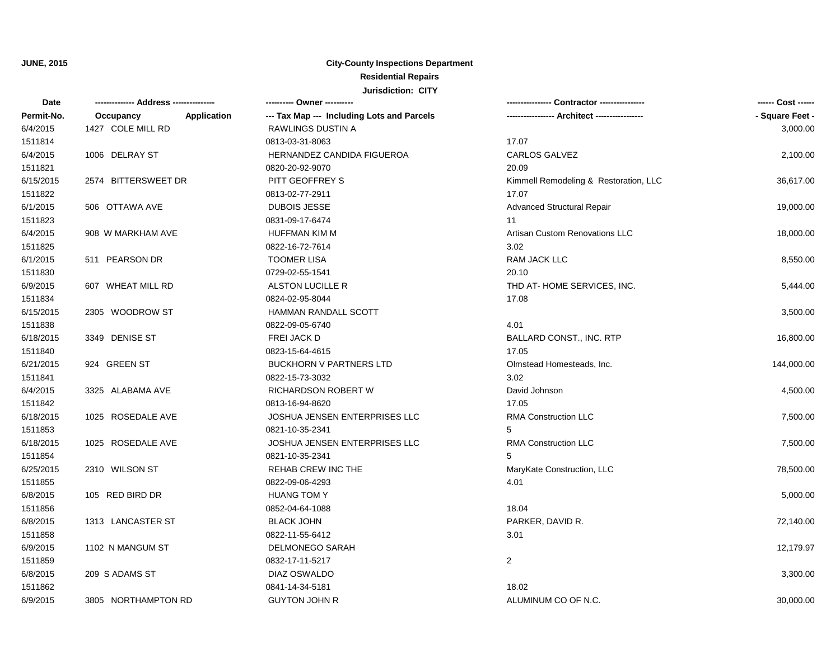| Date       |                          | ---------- Owner ----------                |                                       | ------ Cost ------ |
|------------|--------------------------|--------------------------------------------|---------------------------------------|--------------------|
| Permit-No. | Occupancy<br>Application | --- Tax Map --- Including Lots and Parcels |                                       | - Square Feet -    |
| 6/4/2015   | 1427 COLE MILL RD        | RAWLINGS DUSTIN A                          |                                       | 3,000.00           |
| 1511814    |                          | 0813-03-31-8063                            | 17.07                                 |                    |
| 6/4/2015   | 1006 DELRAY ST           | HERNANDEZ CANDIDA FIGUEROA                 | <b>CARLOS GALVEZ</b>                  | 2,100.00           |
| 1511821    |                          | 0820-20-92-9070                            | 20.09                                 |                    |
| 6/15/2015  | 2574 BITTERSWEET DR      | PITT GEOFFREY S                            | Kimmell Remodeling & Restoration, LLC | 36,617.00          |
| 1511822    |                          | 0813-02-77-2911                            | 17.07                                 |                    |
| 6/1/2015   | 506 OTTAWA AVE           | <b>DUBOIS JESSE</b>                        | <b>Advanced Structural Repair</b>     | 19,000.00          |
| 1511823    |                          | 0831-09-17-6474                            | 11                                    |                    |
| 6/4/2015   | 908 W MARKHAM AVE        | <b>HUFFMAN KIM M</b>                       | Artisan Custom Renovations LLC        | 18,000.00          |
| 1511825    |                          | 0822-16-72-7614                            | 3.02                                  |                    |
| 6/1/2015   | 511 PEARSON DR           | <b>TOOMER LISA</b>                         | RAM JACK LLC                          | 8,550.00           |
| 1511830    |                          | 0729-02-55-1541                            | 20.10                                 |                    |
| 6/9/2015   | 607 WHEAT MILL RD        | ALSTON LUCILLE R                           | THD AT-HOME SERVICES, INC.            | 5,444.00           |
| 1511834    |                          | 0824-02-95-8044                            | 17.08                                 |                    |
| 6/15/2015  | 2305 WOODROW ST          | HAMMAN RANDALL SCOTT                       |                                       | 3,500.00           |
| 1511838    |                          | 0822-09-05-6740                            | 4.01                                  |                    |
| 6/18/2015  | 3349 DENISE ST           | FREI JACK D                                | <b>BALLARD CONST., INC. RTP</b>       | 16,800.00          |
| 1511840    |                          | 0823-15-64-4615                            | 17.05                                 |                    |
| 6/21/2015  | 924 GREEN ST             | <b>BUCKHORN V PARTNERS LTD</b>             | Olmstead Homesteads, Inc.             | 144,000.00         |
| 1511841    |                          | 0822-15-73-3032                            | 3.02                                  |                    |
| 6/4/2015   | 3325 ALABAMA AVE         | RICHARDSON ROBERT W                        | David Johnson                         | 4,500.00           |
| 1511842    |                          | 0813-16-94-8620                            | 17.05                                 |                    |
| 6/18/2015  | 1025 ROSEDALE AVE        | JOSHUA JENSEN ENTERPRISES LLC              | <b>RMA Construction LLC</b>           | 7,500.00           |
| 1511853    |                          | 0821-10-35-2341                            | 5                                     |                    |
| 6/18/2015  | 1025 ROSEDALE AVE        | JOSHUA JENSEN ENTERPRISES LLC              | <b>RMA Construction LLC</b>           | 7,500.00           |
| 1511854    |                          | 0821-10-35-2341                            | 5                                     |                    |
| 6/25/2015  | 2310 WILSON ST           | <b>REHAB CREW INC THE</b>                  | MaryKate Construction, LLC            | 78,500.00          |
| 1511855    |                          | 0822-09-06-4293                            | 4.01                                  |                    |
| 6/8/2015   | 105 RED BIRD DR          | <b>HUANG TOM Y</b>                         |                                       | 5,000.00           |
| 1511856    |                          | 0852-04-64-1088                            | 18.04                                 |                    |
| 6/8/2015   | 1313 LANCASTER ST        | <b>BLACK JOHN</b>                          | PARKER, DAVID R.                      | 72,140.00          |
| 1511858    |                          | 0822-11-55-6412                            | 3.01                                  |                    |
| 6/9/2015   | 1102 N MANGUM ST         | <b>DELMONEGO SARAH</b>                     |                                       | 12,179.97          |
| 1511859    |                          | 0832-17-11-5217                            | $\overline{2}$                        |                    |
| 6/8/2015   | 209 S ADAMS ST           | DIAZ OSWALDO                               |                                       | 3,300.00           |
| 1511862    |                          | 0841-14-34-5181                            | 18.02                                 |                    |
| 6/9/2015   | 3805 NORTHAMPTON RD      | <b>GUYTON JOHN R</b>                       | ALUMINUM CO OF N.C.                   | 30,000.00          |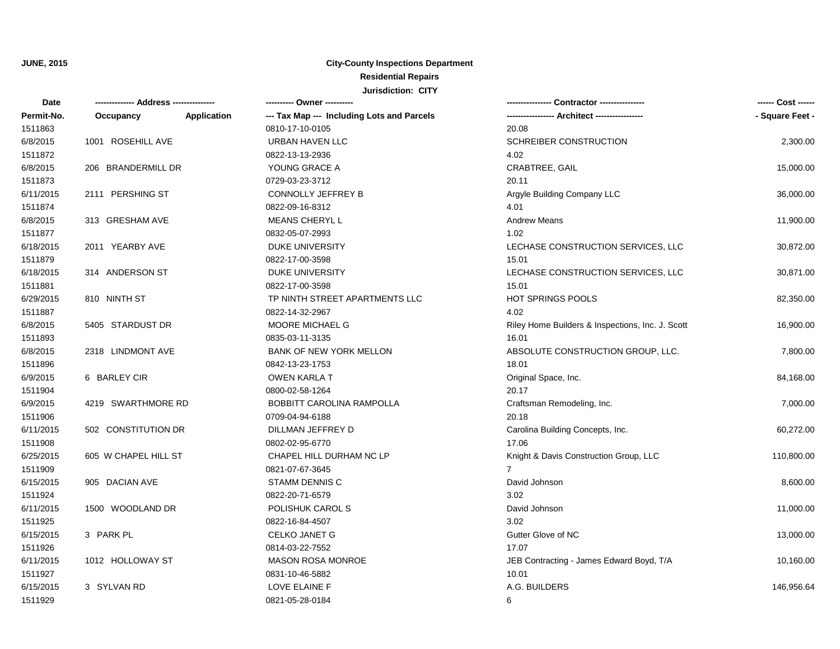| <b>Date</b> | -------------- Address --------------- |             | ---------- Owner ----------                |                                                  | ------ Cost ------ |
|-------------|----------------------------------------|-------------|--------------------------------------------|--------------------------------------------------|--------------------|
| Permit-No.  | Occupancy                              | Application | --- Tax Map --- Including Lots and Parcels | ---------------- Architect ----------------      | - Square Feet -    |
| 1511863     |                                        |             | 0810-17-10-0105                            | 20.08                                            |                    |
| 6/8/2015    | 1001 ROSEHILL AVE                      |             | <b>URBAN HAVEN LLC</b>                     | SCHREIBER CONSTRUCTION                           | 2,300.00           |
| 1511872     |                                        |             | 0822-13-13-2936                            | 4.02                                             |                    |
| 6/8/2015    | 206 BRANDERMILL DR                     |             | YOUNG GRACE A                              | CRABTREE, GAIL                                   | 15,000.00          |
| 1511873     |                                        |             | 0729-03-23-3712                            | 20.11                                            |                    |
| 6/11/2015   | 2111 PERSHING ST                       |             | <b>CONNOLLY JEFFREY B</b>                  | Argyle Building Company LLC                      | 36,000.00          |
| 1511874     |                                        |             | 0822-09-16-8312                            | 4.01                                             |                    |
| 6/8/2015    | 313 GRESHAM AVE                        |             | MEANS CHERYL L                             | <b>Andrew Means</b>                              | 11,900.00          |
| 1511877     |                                        |             | 0832-05-07-2993                            | 1.02                                             |                    |
| 6/18/2015   | 2011 YEARBY AVE                        |             | DUKE UNIVERSITY                            | LECHASE CONSTRUCTION SERVICES, LLC               | 30,872.00          |
| 1511879     |                                        |             | 0822-17-00-3598                            | 15.01                                            |                    |
| 6/18/2015   | 314 ANDERSON ST                        |             | <b>DUKE UNIVERSITY</b>                     | LECHASE CONSTRUCTION SERVICES, LLC               | 30,871.00          |
| 1511881     |                                        |             | 0822-17-00-3598                            | 15.01                                            |                    |
| 6/29/2015   | 810 NINTH ST                           |             | TP NINTH STREET APARTMENTS LLC             | <b>HOT SPRINGS POOLS</b>                         | 82,350.00          |
| 1511887     |                                        |             | 0822-14-32-2967                            | 4.02                                             |                    |
| 6/8/2015    | 5405 STARDUST DR                       |             | MOORE MICHAEL G                            | Riley Home Builders & Inspections, Inc. J. Scott | 16,900.00          |
| 1511893     |                                        |             | 0835-03-11-3135                            | 16.01                                            |                    |
| 6/8/2015    | 2318 LINDMONT AVE                      |             | BANK OF NEW YORK MELLON                    | ABSOLUTE CONSTRUCTION GROUP, LLC.                | 7,800.00           |
| 1511896     |                                        |             | 0842-13-23-1753                            | 18.01                                            |                    |
| 6/9/2015    | 6 BARLEY CIR                           |             | <b>OWEN KARLA T</b>                        | Original Space, Inc.                             | 84,168.00          |
| 1511904     |                                        |             | 0800-02-58-1264                            | 20.17                                            |                    |
| 6/9/2015    | 4219 SWARTHMORE RD                     |             | <b>BOBBITT CAROLINA RAMPOLLA</b>           | Craftsman Remodeling, Inc.                       | 7,000.00           |
| 1511906     |                                        |             | 0709-04-94-6188                            | 20.18                                            |                    |
| 6/11/2015   | 502 CONSTITUTION DR                    |             | DILLMAN JEFFREY D                          | Carolina Building Concepts, Inc.                 | 60,272.00          |
| 1511908     |                                        |             | 0802-02-95-6770                            | 17.06                                            |                    |
| 6/25/2015   | 605 W CHAPEL HILL ST                   |             | CHAPEL HILL DURHAM NC LP                   | Knight & Davis Construction Group, LLC           | 110,800.00         |
| 1511909     |                                        |             | 0821-07-67-3645                            | $\overline{7}$                                   |                    |
| 6/15/2015   | 905 DACIAN AVE                         |             | <b>STAMM DENNIS C</b>                      | David Johnson                                    | 8,600.00           |
| 1511924     |                                        |             | 0822-20-71-6579                            | 3.02                                             |                    |
| 6/11/2015   | 1500 WOODLAND DR                       |             | POLISHUK CAROL S                           | David Johnson                                    | 11,000.00          |
| 1511925     |                                        |             | 0822-16-84-4507                            | 3.02                                             |                    |
| 6/15/2015   | 3 PARK PL                              |             | <b>CELKO JANET G</b>                       | Gutter Glove of NC                               | 13,000.00          |
| 1511926     |                                        |             | 0814-03-22-7552                            | 17.07                                            |                    |
| 6/11/2015   | 1012 HOLLOWAY ST                       |             | <b>MASON ROSA MONROE</b>                   | JEB Contracting - James Edward Boyd, T/A         | 10,160.00          |
| 1511927     |                                        |             | 0831-10-46-5882                            | 10.01                                            |                    |
| 6/15/2015   | 3 SYLVAN RD                            |             | <b>LOVE ELAINE F</b>                       | A.G. BUILDERS                                    | 146,956.64         |
| 1511929     |                                        |             | 0821-05-28-0184                            | 6                                                |                    |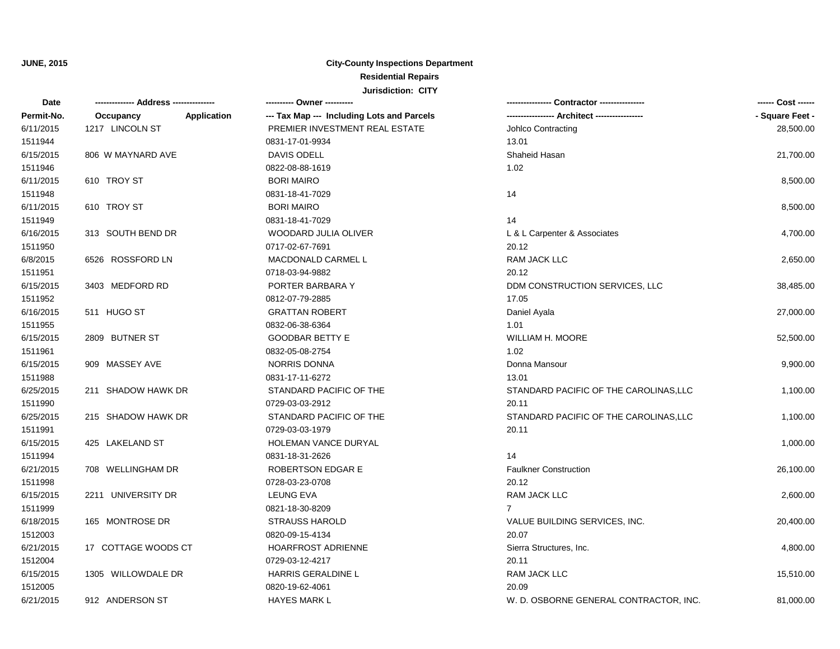| Date       |                     |             | ---------- Owner ----------                |                                             | ------ Cost ------ |
|------------|---------------------|-------------|--------------------------------------------|---------------------------------------------|--------------------|
| Permit-No. | Occupancy           | Application | --- Tax Map --- Including Lots and Parcels | ---------------- Architect ---------------- | - Square Feet -    |
| 6/11/2015  | 1217 LINCOLN ST     |             | PREMIER INVESTMENT REAL ESTATE             | Johlco Contracting                          | 28,500.00          |
| 1511944    |                     |             | 0831-17-01-9934                            | 13.01                                       |                    |
| 6/15/2015  | 806 W MAYNARD AVE   |             | DAVIS ODELL                                | Shaheid Hasan                               | 21,700.00          |
| 1511946    |                     |             | 0822-08-88-1619                            | 1.02                                        |                    |
| 6/11/2015  | 610 TROY ST         |             | <b>BORI MAIRO</b>                          |                                             | 8,500.00           |
| 1511948    |                     |             | 0831-18-41-7029                            | 14                                          |                    |
| 6/11/2015  | 610 TROY ST         |             | <b>BORI MAIRO</b>                          |                                             | 8,500.00           |
| 1511949    |                     |             | 0831-18-41-7029                            | 14                                          |                    |
| 6/16/2015  | 313 SOUTH BEND DR   |             | WOODARD JULIA OLIVER                       | L & L Carpenter & Associates                | 4,700.00           |
| 1511950    |                     |             | 0717-02-67-7691                            | 20.12                                       |                    |
| 6/8/2015   | 6526 ROSSFORD LN    |             | MACDONALD CARMEL L                         | RAM JACK LLC                                | 2,650.00           |
| 1511951    |                     |             | 0718-03-94-9882                            | 20.12                                       |                    |
| 6/15/2015  | 3403 MEDFORD RD     |             | PORTER BARBARA Y                           | DDM CONSTRUCTION SERVICES, LLC              | 38,485.00          |
| 1511952    |                     |             | 0812-07-79-2885                            | 17.05                                       |                    |
| 6/16/2015  | 511 HUGO ST         |             | <b>GRATTAN ROBERT</b>                      | Daniel Ayala                                | 27,000.00          |
| 1511955    |                     |             | 0832-06-38-6364                            | 1.01                                        |                    |
| 6/15/2015  | 2809 BUTNER ST      |             | <b>GOODBAR BETTY E</b>                     | <b>WILLIAM H. MOORE</b>                     | 52,500.00          |
| 1511961    |                     |             | 0832-05-08-2754                            | 1.02                                        |                    |
| 6/15/2015  | 909 MASSEY AVE      |             | <b>NORRIS DONNA</b>                        | Donna Mansour                               | 9,900.00           |
| 1511988    |                     |             | 0831-17-11-6272                            | 13.01                                       |                    |
| 6/25/2015  | 211 SHADOW HAWK DR  |             | STANDARD PACIFIC OF THE                    | STANDARD PACIFIC OF THE CAROLINAS, LLC      | 1,100.00           |
| 1511990    |                     |             | 0729-03-03-2912                            | 20.11                                       |                    |
| 6/25/2015  | 215 SHADOW HAWK DR  |             | STANDARD PACIFIC OF THE                    | STANDARD PACIFIC OF THE CAROLINAS, LLC      | 1,100.00           |
| 1511991    |                     |             | 0729-03-03-1979                            | 20.11                                       |                    |
| 6/15/2015  | 425 LAKELAND ST     |             | HOLEMAN VANCE DURYAL                       |                                             | 1,000.00           |
| 1511994    |                     |             | 0831-18-31-2626                            | 14                                          |                    |
| 6/21/2015  | 708 WELLINGHAM DR   |             | <b>ROBERTSON EDGAR E</b>                   | <b>Faulkner Construction</b>                | 26,100.00          |
| 1511998    |                     |             | 0728-03-23-0708                            | 20.12                                       |                    |
| 6/15/2015  | 2211 UNIVERSITY DR  |             | <b>LEUNG EVA</b>                           | RAM JACK LLC                                | 2,600.00           |
| 1511999    |                     |             | 0821-18-30-8209                            | $7^{\circ}$                                 |                    |
| 6/18/2015  | 165 MONTROSE DR     |             | <b>STRAUSS HAROLD</b>                      | VALUE BUILDING SERVICES, INC.               | 20,400.00          |
| 1512003    |                     |             | 0820-09-15-4134                            | 20.07                                       |                    |
| 6/21/2015  | 17 COTTAGE WOODS CT |             | <b>HOARFROST ADRIENNE</b>                  | Sierra Structures, Inc.                     | 4,800.00           |
| 1512004    |                     |             | 0729-03-12-4217                            | 20.11                                       |                    |
| 6/15/2015  | 1305 WILLOWDALE DR  |             | HARRIS GERALDINE L                         | RAM JACK LLC                                | 15,510.00          |
| 1512005    |                     |             | 0820-19-62-4061                            | 20.09                                       |                    |
| 6/21/2015  | 912 ANDERSON ST     |             | <b>HAYES MARK L</b>                        | W. D. OSBORNE GENERAL CONTRACTOR, INC.      | 81,000.00          |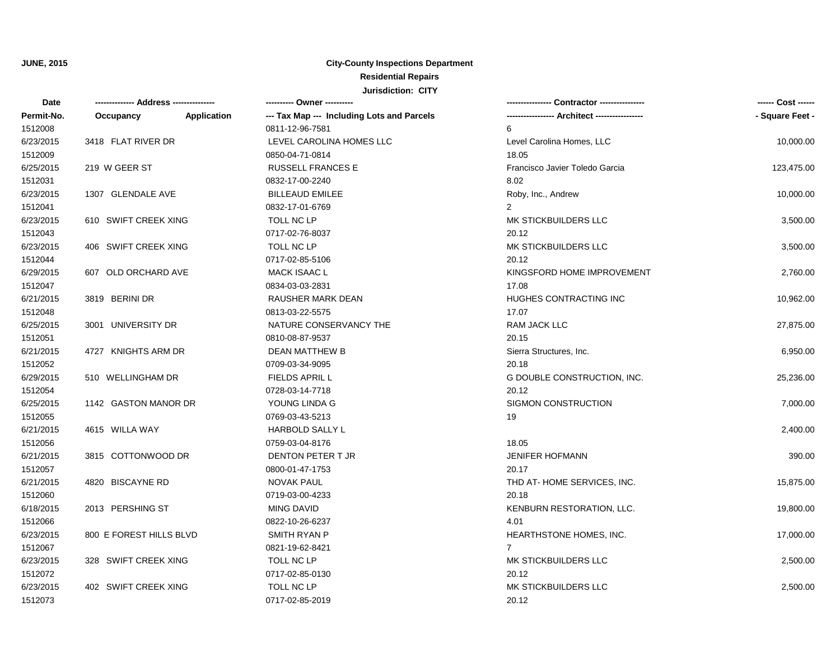| Date       |                         |                    |                                            |                                | ------ Cost ------ |
|------------|-------------------------|--------------------|--------------------------------------------|--------------------------------|--------------------|
| Permit-No. | Occupancy               | <b>Application</b> | --- Tax Map --- Including Lots and Parcels |                                | - Square Feet -    |
| 1512008    |                         |                    | 0811-12-96-7581                            | 6                              |                    |
| 6/23/2015  | 3418 FLAT RIVER DR      |                    | LEVEL CAROLINA HOMES LLC                   | Level Carolina Homes, LLC      | 10,000.00          |
| 1512009    |                         |                    | 0850-04-71-0814                            | 18.05                          |                    |
| 6/25/2015  | 219 W GEER ST           |                    | <b>RUSSELL FRANCES E</b>                   | Francisco Javier Toledo Garcia | 123,475.00         |
| 1512031    |                         |                    | 0832-17-00-2240                            | 8.02                           |                    |
| 6/23/2015  | 1307 GLENDALE AVE       |                    | <b>BILLEAUD EMILEE</b>                     | Roby, Inc., Andrew             | 10,000.00          |
| 1512041    |                         |                    | 0832-17-01-6769                            | 2                              |                    |
| 6/23/2015  | 610 SWIFT CREEK XING    |                    | TOLL NC LP                                 | MK STICKBUILDERS LLC           | 3,500.00           |
| 1512043    |                         |                    | 0717-02-76-8037                            | 20.12                          |                    |
| 6/23/2015  | 406 SWIFT CREEK XING    |                    | TOLL NC LP                                 | MK STICKBUILDERS LLC           | 3,500.00           |
| 1512044    |                         |                    | 0717-02-85-5106                            | 20.12                          |                    |
| 6/29/2015  | 607 OLD ORCHARD AVE     |                    | <b>MACK ISAAC L</b>                        | KINGSFORD HOME IMPROVEMENT     | 2,760.00           |
| 1512047    |                         |                    | 0834-03-03-2831                            | 17.08                          |                    |
| 6/21/2015  | 3819 BERINI DR          |                    | RAUSHER MARK DEAN                          | <b>HUGHES CONTRACTING INC</b>  | 10,962.00          |
| 1512048    |                         |                    | 0813-03-22-5575                            | 17.07                          |                    |
| 6/25/2015  | 3001 UNIVERSITY DR      |                    | NATURE CONSERVANCY THE                     | RAM JACK LLC                   | 27,875.00          |
| 1512051    |                         |                    | 0810-08-87-9537                            | 20.15                          |                    |
| 6/21/2015  | 4727 KNIGHTS ARM DR     |                    | DEAN MATTHEW B                             | Sierra Structures, Inc.        | 6,950.00           |
| 1512052    |                         |                    | 0709-03-34-9095                            | 20.18                          |                    |
| 6/29/2015  | 510 WELLINGHAM DR       |                    | <b>FIELDS APRIL L</b>                      | G DOUBLE CONSTRUCTION, INC.    | 25,236.00          |
| 1512054    |                         |                    | 0728-03-14-7718                            | 20.12                          |                    |
| 6/25/2015  | 1142 GASTON MANOR DR    |                    | YOUNG LINDA G                              | SIGMON CONSTRUCTION            | 7,000.00           |
| 1512055    |                         |                    | 0769-03-43-5213                            | 19                             |                    |
| 6/21/2015  | 4615 WILLA WAY          |                    | <b>HARBOLD SALLY L</b>                     |                                | 2,400.00           |
| 1512056    |                         |                    | 0759-03-04-8176                            | 18.05                          |                    |
| 6/21/2015  | 3815 COTTONWOOD DR      |                    | DENTON PETER T JR                          | <b>JENIFER HOFMANN</b>         | 390.00             |
| 1512057    |                         |                    | 0800-01-47-1753                            | 20.17                          |                    |
| 6/21/2015  | 4820 BISCAYNE RD        |                    | <b>NOVAK PAUL</b>                          | THD AT-HOME SERVICES, INC.     | 15,875.00          |
| 1512060    |                         |                    | 0719-03-00-4233                            | 20.18                          |                    |
| 6/18/2015  | 2013 PERSHING ST        |                    | <b>MING DAVID</b>                          | KENBURN RESTORATION, LLC.      | 19,800.00          |
| 1512066    |                         |                    | 0822-10-26-6237                            | 4.01                           |                    |
| 6/23/2015  | 800 E FOREST HILLS BLVD |                    | SMITH RYAN P                               | HEARTHSTONE HOMES, INC.        | 17,000.00          |
| 1512067    |                         |                    | 0821-19-62-8421                            | $\overline{7}$                 |                    |
| 6/23/2015  | 328 SWIFT CREEK XING    |                    | TOLL NC LP                                 | MK STICKBUILDERS LLC           | 2,500.00           |
| 1512072    |                         |                    | 0717-02-85-0130                            | 20.12                          |                    |
| 6/23/2015  | 402 SWIFT CREEK XING    |                    | TOLL NC LP                                 | MK STICKBUILDERS LLC           | 2,500.00           |
| 1512073    |                         |                    | 0717-02-85-2019                            | 20.12                          |                    |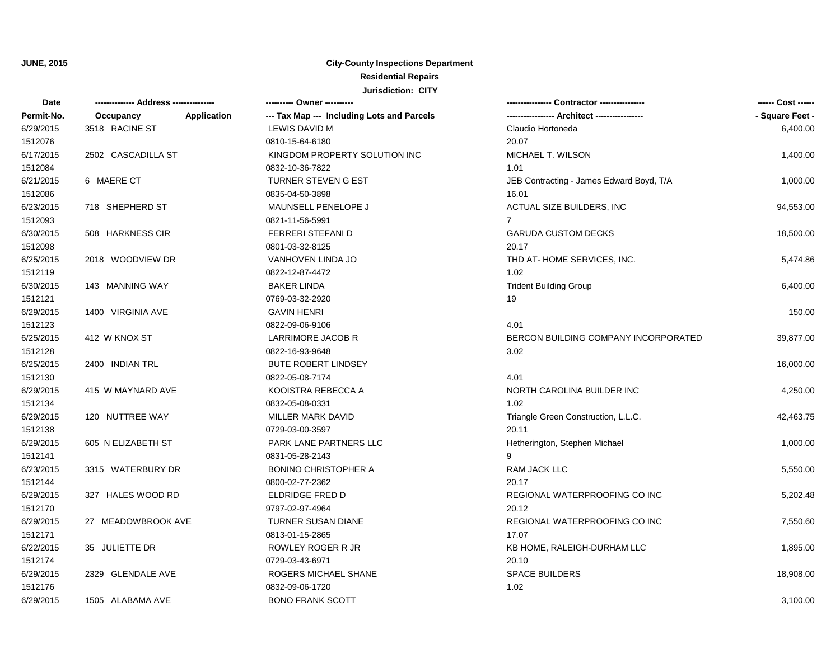| <b>Date</b> | ------------- Address -------------- |                    | ---------- Owner ----------                |                                          | ------ Cost ------ |
|-------------|--------------------------------------|--------------------|--------------------------------------------|------------------------------------------|--------------------|
| Permit-No.  | Occupancy                            | <b>Application</b> | --- Tax Map --- Including Lots and Parcels |                                          | - Square Feet -    |
| 6/29/2015   | 3518 RACINE ST                       |                    | LEWIS DAVID M                              | Claudio Hortoneda                        | 6,400.00           |
| 1512076     |                                      |                    | 0810-15-64-6180                            | 20.07                                    |                    |
| 6/17/2015   | 2502 CASCADILLA ST                   |                    | KINGDOM PROPERTY SOLUTION INC              | MICHAEL T. WILSON                        | 1,400.00           |
| 1512084     |                                      |                    | 0832-10-36-7822                            | 1.01                                     |                    |
| 6/21/2015   | 6 MAERE CT                           |                    | <b>TURNER STEVEN G EST</b>                 | JEB Contracting - James Edward Boyd, T/A | 1,000.00           |
| 1512086     |                                      |                    | 0835-04-50-3898                            | 16.01                                    |                    |
| 6/23/2015   | 718 SHEPHERD ST                      |                    | MAUNSELL PENELOPE J                        | ACTUAL SIZE BUILDERS, INC                | 94,553.00          |
| 1512093     |                                      |                    | 0821-11-56-5991                            | $\overline{7}$                           |                    |
| 6/30/2015   | 508 HARKNESS CIR                     |                    | FERRERI STEFANI D                          | <b>GARUDA CUSTOM DECKS</b>               | 18,500.00          |
| 1512098     |                                      |                    | 0801-03-32-8125                            | 20.17                                    |                    |
| 6/25/2015   | 2018 WOODVIEW DR                     |                    | VANHOVEN LINDA JO                          | THD AT-HOME SERVICES, INC.               | 5,474.86           |
| 1512119     |                                      |                    | 0822-12-87-4472                            | 1.02                                     |                    |
| 6/30/2015   | 143 MANNING WAY                      |                    | <b>BAKER LINDA</b>                         | <b>Trident Building Group</b>            | 6,400.00           |
| 1512121     |                                      |                    | 0769-03-32-2920                            | 19                                       |                    |
| 6/29/2015   | 1400 VIRGINIA AVE                    |                    | <b>GAVIN HENRI</b>                         |                                          | 150.00             |
| 1512123     |                                      |                    | 0822-09-06-9106                            | 4.01                                     |                    |
| 6/25/2015   | 412 W KNOX ST                        |                    | LARRIMORE JACOB R                          | BERCON BUILDING COMPANY INCORPORATED     | 39,877.00          |
| 1512128     |                                      |                    | 0822-16-93-9648                            | 3.02                                     |                    |
| 6/25/2015   | 2400 INDIAN TRL                      |                    | <b>BUTE ROBERT LINDSEY</b>                 |                                          | 16,000.00          |
| 1512130     |                                      |                    | 0822-05-08-7174                            | 4.01                                     |                    |
| 6/29/2015   | 415 W MAYNARD AVE                    |                    | KOOISTRA REBECCA A                         | NORTH CAROLINA BUILDER INC               | 4,250.00           |
| 1512134     |                                      |                    | 0832-05-08-0331                            | 1.02                                     |                    |
| 6/29/2015   | 120 NUTTREE WAY                      |                    | MILLER MARK DAVID                          | Triangle Green Construction, L.L.C.      | 42,463.75          |
| 1512138     |                                      |                    | 0729-03-00-3597                            | 20.11                                    |                    |
| 6/29/2015   | 605 N ELIZABETH ST                   |                    | PARK LANE PARTNERS LLC                     | Hetherington, Stephen Michael            | 1,000.00           |
| 1512141     |                                      |                    | 0831-05-28-2143                            | 9                                        |                    |
| 6/23/2015   | 3315 WATERBURY DR                    |                    | <b>BONINO CHRISTOPHER A</b>                | <b>RAM JACK LLC</b>                      | 5,550.00           |
| 1512144     |                                      |                    | 0800-02-77-2362                            | 20.17                                    |                    |
| 6/29/2015   | 327 HALES WOOD RD                    |                    | ELDRIDGE FRED D                            | REGIONAL WATERPROOFING CO INC            | 5,202.48           |
| 1512170     |                                      |                    | 9797-02-97-4964                            | 20.12                                    |                    |
| 6/29/2015   | 27 MEADOWBROOK AVE                   |                    | TURNER SUSAN DIANE                         | REGIONAL WATERPROOFING CO INC            | 7,550.60           |
| 1512171     |                                      |                    | 0813-01-15-2865                            | 17.07                                    |                    |
| 6/22/2015   | 35 JULIETTE DR                       |                    | ROWLEY ROGER R JR                          | KB HOME, RALEIGH-DURHAM LLC              | 1,895.00           |
| 1512174     |                                      |                    | 0729-03-43-6971                            | 20.10                                    |                    |
| 6/29/2015   | 2329 GLENDALE AVE                    |                    | ROGERS MICHAEL SHANE                       | <b>SPACE BUILDERS</b>                    | 18,908.00          |
| 1512176     |                                      |                    | 0832-09-06-1720                            | 1.02                                     |                    |
| 6/29/2015   | 1505 ALABAMA AVE                     |                    | <b>BONO FRANK SCOTT</b>                    |                                          | 3,100.00           |